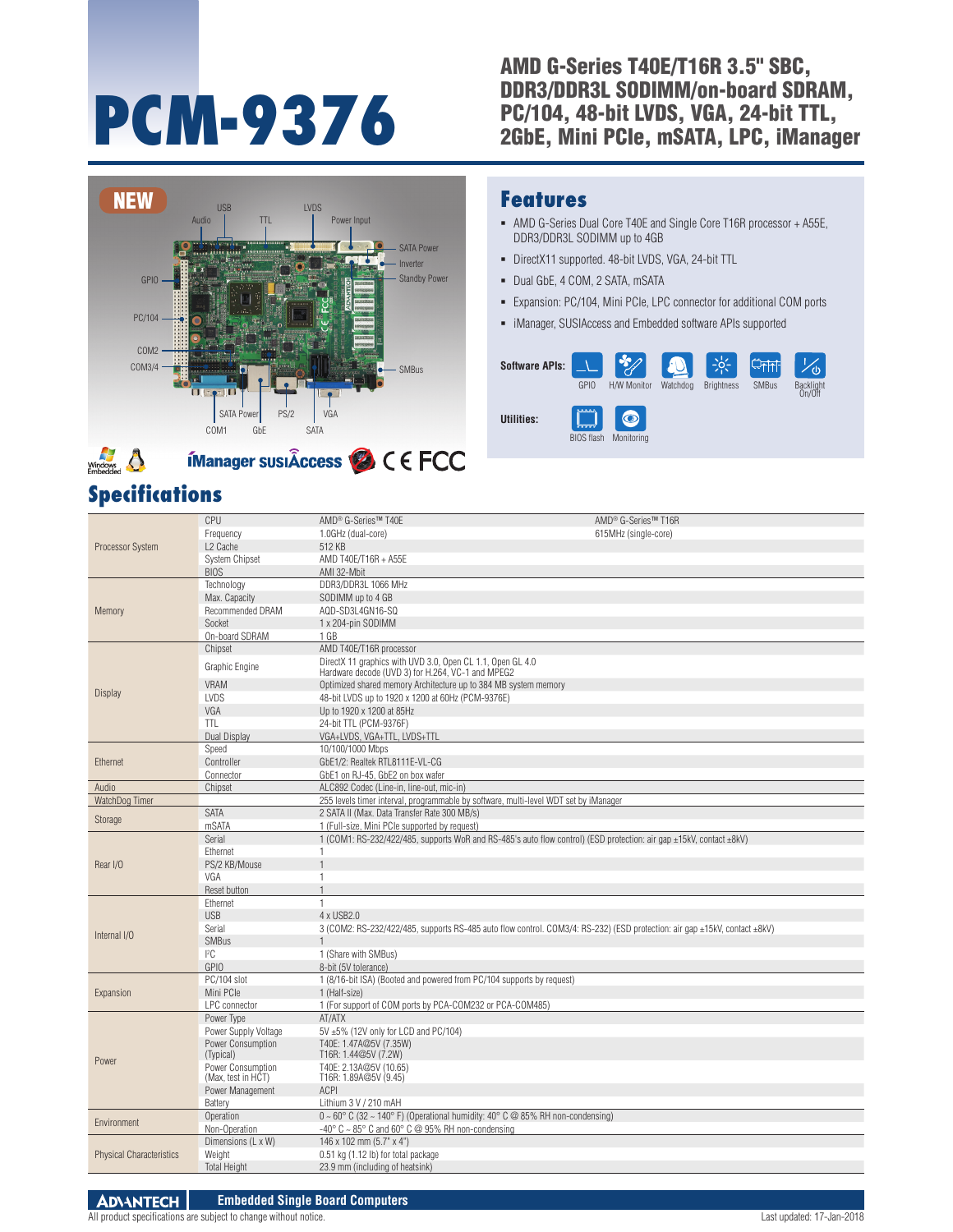# AMD G-Series T40E/T16R 3.5" SBC, DDR3/DDR3L SODIMM/on-board SDRAM,<br>PC/104, 48-bit LVDS, VGA, 24-bit TTL, PCM-9376<br>
<sup>PC/104, 48-bit LVDS, VGA, 24-bit TTL,<br>
<sup>2GbE,</sup> Mini PCIe, mSATA, LPC, iManager</sup>



## **Specifications**

#### **Features**

- AMD G-Series Dual Core T40E and Single Core T16R processor + A55E, DDR3/DDR3L SODIMM up to 4GB
- DirectX11 supported. 48-bit LVDS, VGA, 24-bit TTL
- Dual GbE, 4 COM, 2 SATA, mSATA
- Expansion: PC/104, Mini PCIe, LPC connector for additional COM ports
- iManager, SUSIAccess and Embedded software APIs supported

| <b>Software APIs:</b> | GPIO                                                          | H/W Monitor             | 63<br>Watchdog | <b>Brightness</b> | <b>SMBus</b> | dy<br>Backlight<br>On/Off |
|-----------------------|---------------------------------------------------------------|-------------------------|----------------|-------------------|--------------|---------------------------|
| <b>Utilities:</b>     | 22223<br><b><i><u>Experience</u></i></b><br><b>BIOS flash</b> | $\bullet$<br>Monitorina |                |                   |              |                           |

| Processor System                | CPU                   | AMD <sup>®</sup> G-Series™ T40E                                                                                           | AMD <sup>®</sup> G-Series™ T16R |
|---------------------------------|-----------------------|---------------------------------------------------------------------------------------------------------------------------|---------------------------------|
|                                 | Frequency             | 1.0GHz (dual-core)                                                                                                        | 615MHz (single-core)            |
|                                 | L2 Cache              | 512 KB                                                                                                                    |                                 |
|                                 | <b>System Chipset</b> | AMD T40E/T16R + A55E                                                                                                      |                                 |
|                                 | <b>BIOS</b>           | AMI 32-Mbit                                                                                                               |                                 |
|                                 | Technology            | DDR3/DDR3L 1066 MHz                                                                                                       |                                 |
|                                 | Max. Capacity         | SODIMM up to 4 GB                                                                                                         |                                 |
| Memory                          | Recommended DRAM      | AQD-SD3L4GN16-SQ                                                                                                          |                                 |
|                                 | Socket                | 1 x 204-pin SODIMM                                                                                                        |                                 |
|                                 | On-board SDRAM        | 1 GB                                                                                                                      |                                 |
|                                 | Chipset               | AMD T40E/T16R processor                                                                                                   |                                 |
|                                 |                       | DirectX 11 graphics with UVD 3.0, Open CL 1.1, Open GL 4.0                                                                |                                 |
|                                 | Graphic Engine        | Hardware decode (UVD 3) for H.264, VC-1 and MPEG2                                                                         |                                 |
|                                 | <b>VRAM</b>           | Optimized shared memory Architecture up to 384 MB system memory                                                           |                                 |
| Display                         | <b>LVDS</b>           | 48-bit LVDS up to 1920 x 1200 at 60Hz (PCM-9376E)                                                                         |                                 |
|                                 | VGA                   | Up to 1920 x 1200 at 85Hz                                                                                                 |                                 |
|                                 | <b>TTL</b>            | 24-bit TTL (PCM-9376F)                                                                                                    |                                 |
|                                 | Dual Display          | VGA+LVDS, VGA+TTL, LVDS+TTL                                                                                               |                                 |
|                                 | Speed                 | 10/100/1000 Mbps                                                                                                          |                                 |
| Ethernet                        | Controller            | GbE1/2: Realtek RTL8111E-VL-CG                                                                                            |                                 |
|                                 | Connector             | GbE1 on RJ-45, GbE2 on box wafer                                                                                          |                                 |
| Audio                           | Chipset               | ALC892 Codec (Line-in, line-out, mic-in)                                                                                  |                                 |
| WatchDog Timer                  |                       | 255 levels timer interval, programmable by software, multi-level WDT set by iManager                                      |                                 |
|                                 | <b>SATA</b>           | 2 SATA II (Max. Data Transfer Rate 300 MB/s)                                                                              |                                 |
| Storage                         | mSATA                 | 1 (Full-size, Mini PCIe supported by request)                                                                             |                                 |
|                                 | Serial                | 1 (COM1: RS-232/422/485, supports WoR and RS-485's auto flow control) (ESD protection: air qap ±15kV, contact ±8kV)       |                                 |
|                                 | Ethernet              | $\mathbf{1}$                                                                                                              |                                 |
| Rear I/O                        | PS/2 KB/Mouse         |                                                                                                                           |                                 |
|                                 | VGA                   | $\mathbf{1}$                                                                                                              |                                 |
|                                 | Reset button          | $\overline{1}$                                                                                                            |                                 |
|                                 | Ethernet              | $\mathbf{1}$                                                                                                              |                                 |
|                                 | <b>USB</b>            | 4 x USB2.0                                                                                                                |                                 |
|                                 | Serial                | 3 (COM2: RS-232/422/485, supports RS-485 auto flow control. COM3/4: RS-232) (ESD protection: air gap ±15kV, contact ±8kV) |                                 |
| Internal I/O                    | <b>SMBus</b>          |                                                                                                                           |                                 |
|                                 | ${}^{12}C$            | 1 (Share with SMBus)                                                                                                      |                                 |
|                                 | GPIO                  | 8-bit (5V tolerance)                                                                                                      |                                 |
|                                 | PC/104 slot           | 1 (8/16-bit ISA) (Booted and powered from PC/104 supports by request)                                                     |                                 |
| Expansion                       | Mini PCle             | 1 (Half-size)                                                                                                             |                                 |
|                                 | LPC connector         | 1 (For support of COM ports by PCA-COM232 or PCA-COM485)                                                                  |                                 |
|                                 | Power Type            | AT/ATX                                                                                                                    |                                 |
|                                 | Power Supply Voltage  | 5V ±5% (12V only for LCD and PC/104)                                                                                      |                                 |
| Power                           | Power Consumption     | T40E: 1.47A@5V (7.35W)                                                                                                    |                                 |
|                                 | (Typical)             | T16R: 1.44@5V (7.2W)                                                                                                      |                                 |
|                                 | Power Consumption     | T40E: 2.13A@5V (10.65)                                                                                                    |                                 |
|                                 | (Max, test in HCT)    | T16R: 1.89A@5V (9.45)                                                                                                     |                                 |
|                                 | Power Management      | <b>ACPI</b>                                                                                                               |                                 |
|                                 | Battery               | Lithium 3 V / 210 mAH                                                                                                     |                                 |
| Environment                     | Operation             | $0 \sim 60^{\circ}$ C (32 ~ 140°F) (Operational humidity: 40°C @ 85% RH non-condensing)                                   |                                 |
|                                 | Non-Operation         | $-40^{\circ}$ C $\sim$ 85 $^{\circ}$ C and 60 $^{\circ}$ C @ 95% RH non-condensing                                        |                                 |
|                                 | Dimensions (L x W)    | 146 x 102 mm (5.7" x 4")                                                                                                  |                                 |
| <b>Physical Characteristics</b> | Weight                | 0.51 kg (1.12 lb) for total package                                                                                       |                                 |
|                                 | <b>Total Height</b>   | 23.9 mm (including of heatsink)                                                                                           |                                 |
|                                 |                       |                                                                                                                           |                                 |